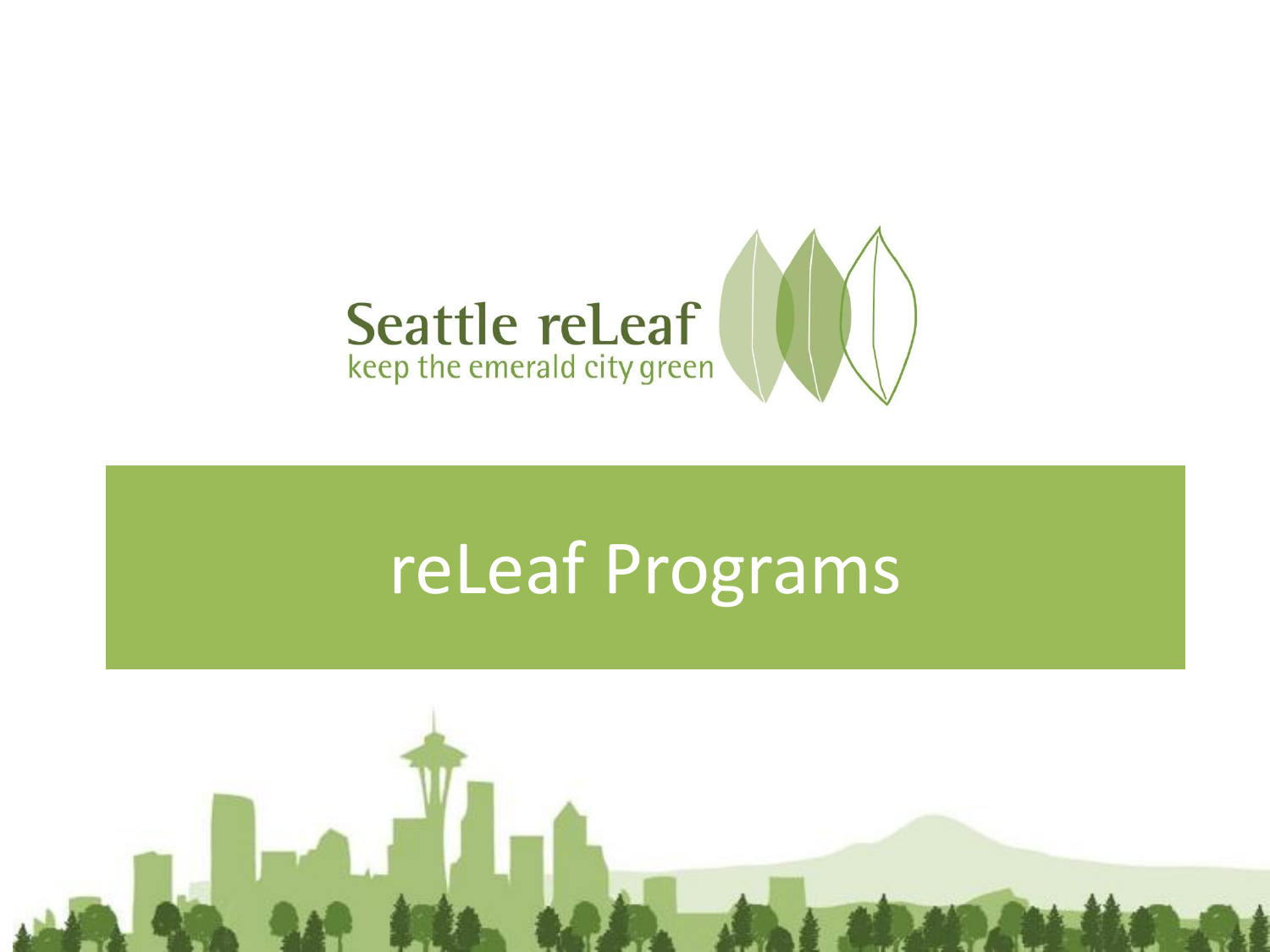

## reLeaf Programs

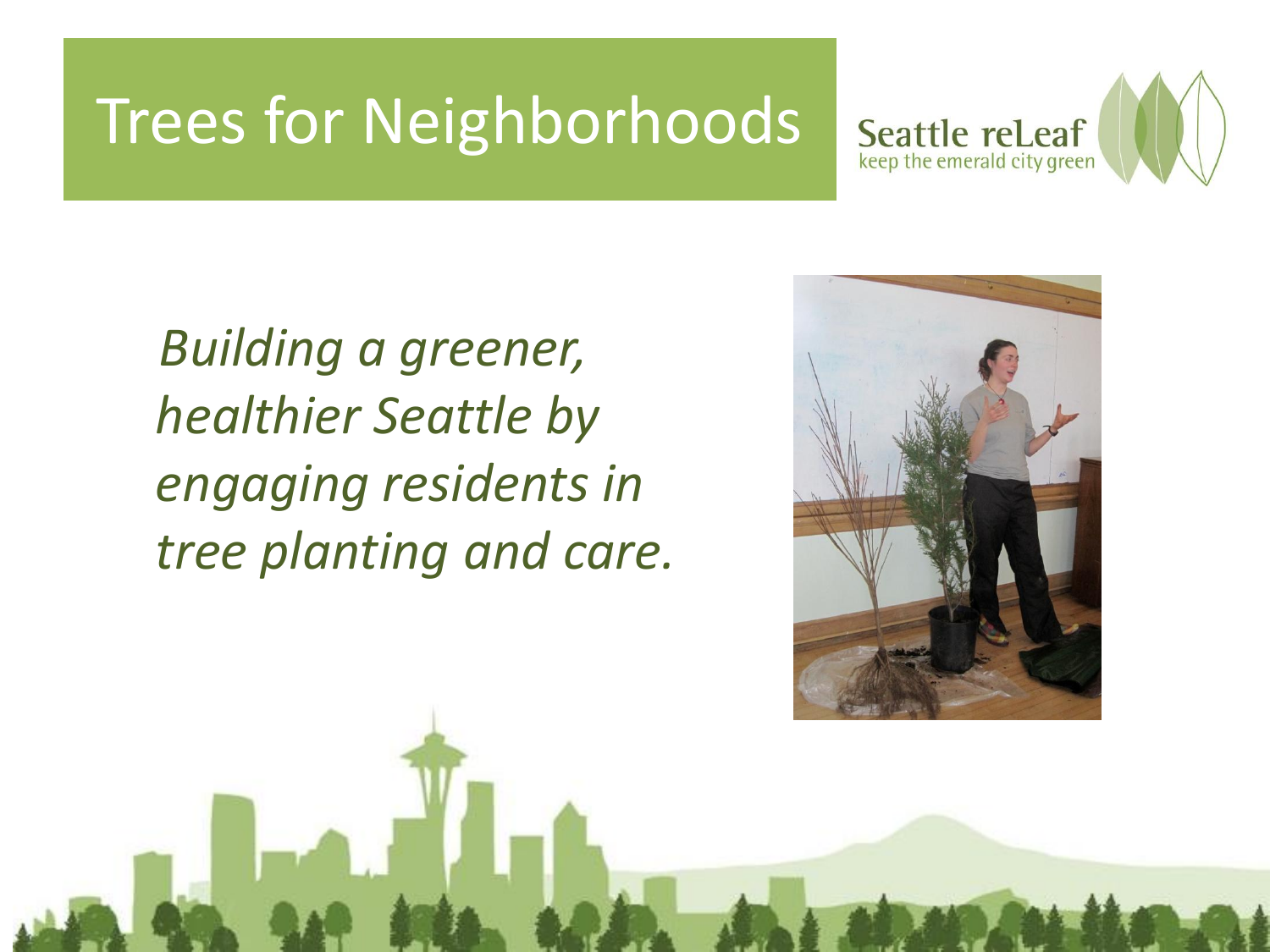### Trees for Neighborhoods



*Building a greener, healthier Seattle by engaging residents in tree planting and care.*

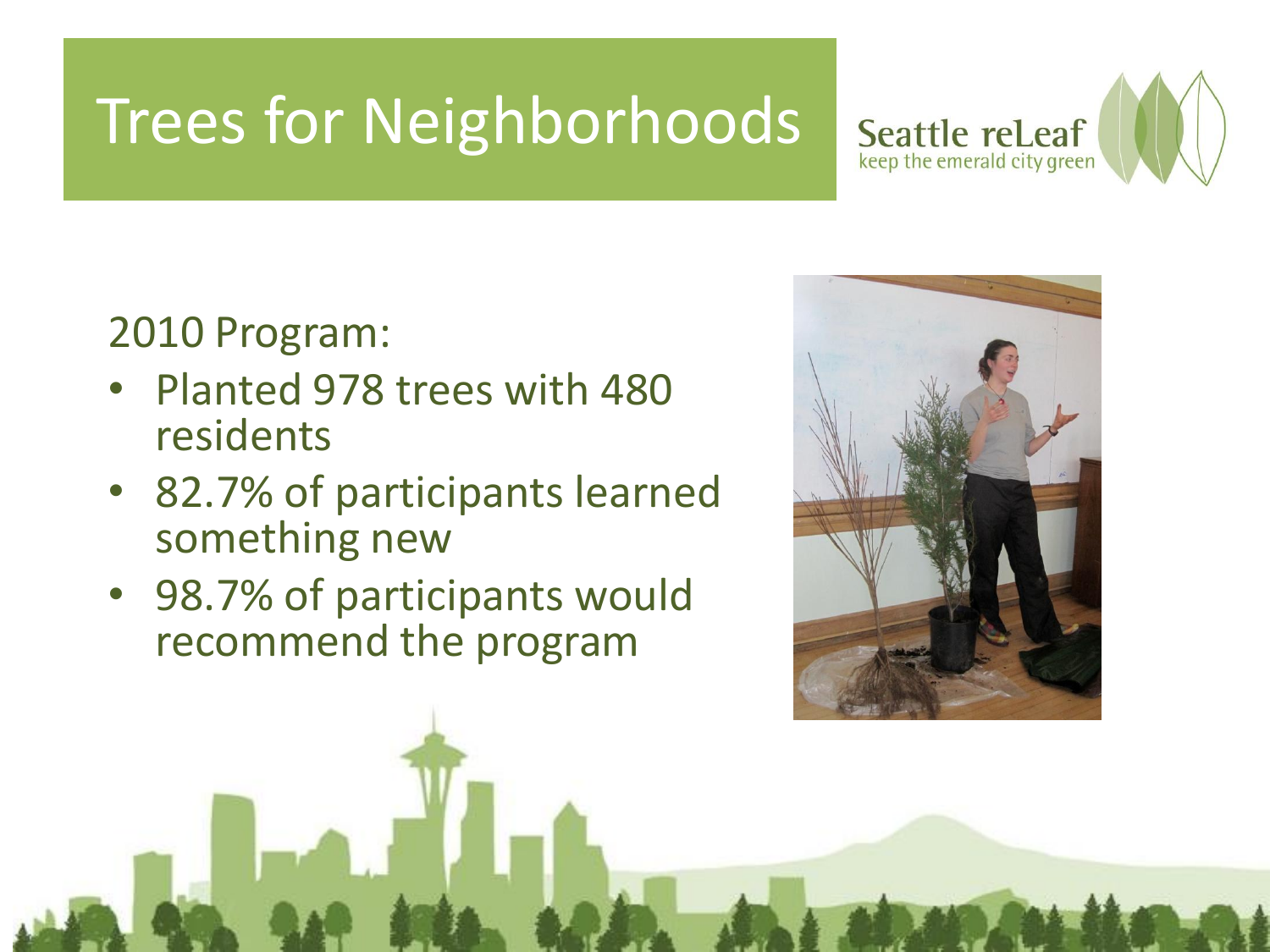## Trees for Neighborhoods



#### 2010 Program:

- Planted 978 trees with 480 residents
- 82.7% of participants learned something new
- 98.7% of participants would recommend the program

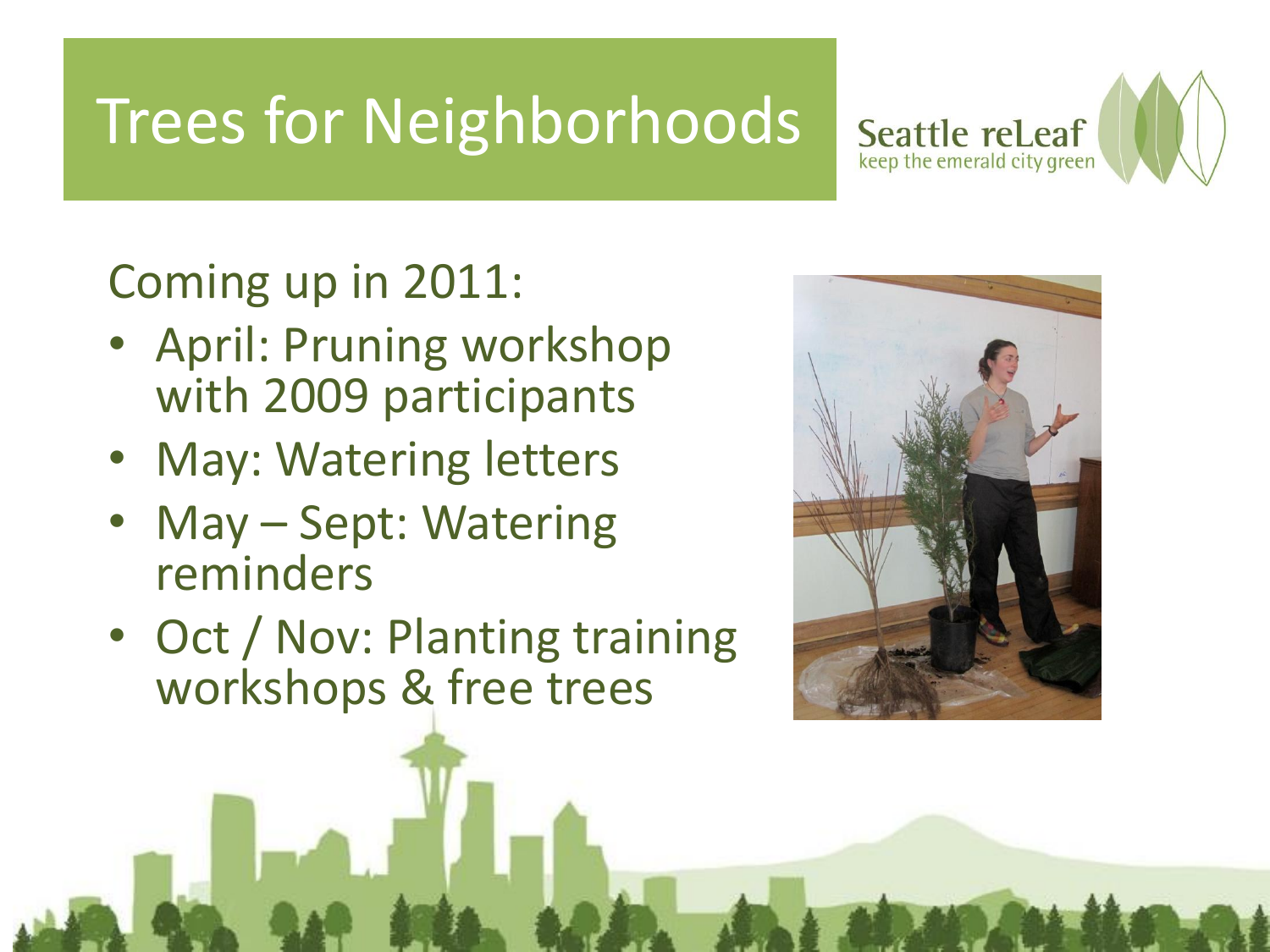## Trees for Neighborhoods



### Coming up in 2011:

- April: Pruning workshop with 2009 participants
- May: Watering letters
- May Sept: Watering reminders
- Oct / Nov: Planting training workshops & free trees

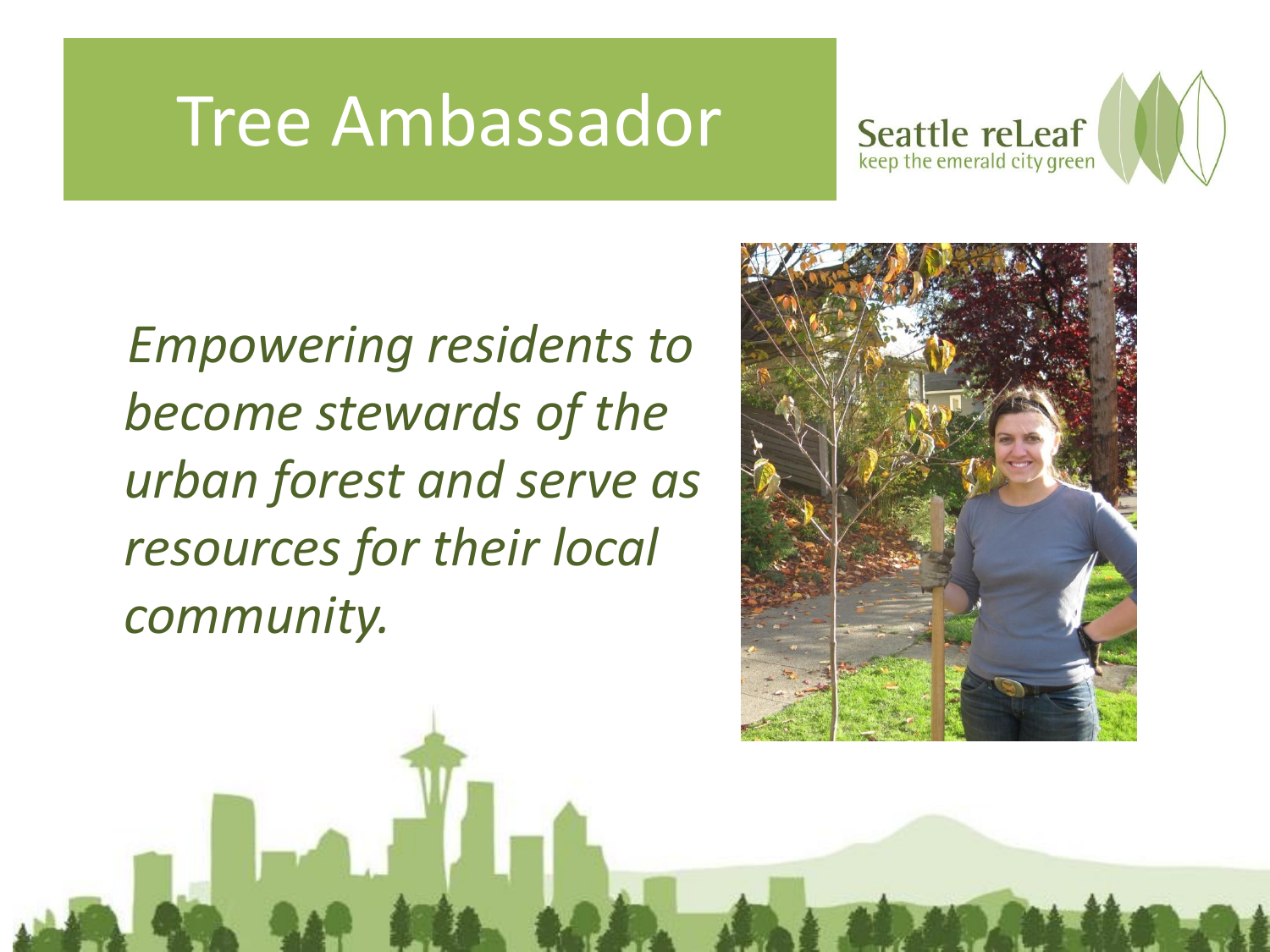## Tree Ambassador



*Empowering residents to become stewards of the urban forest and serve as resources for their local community.* 

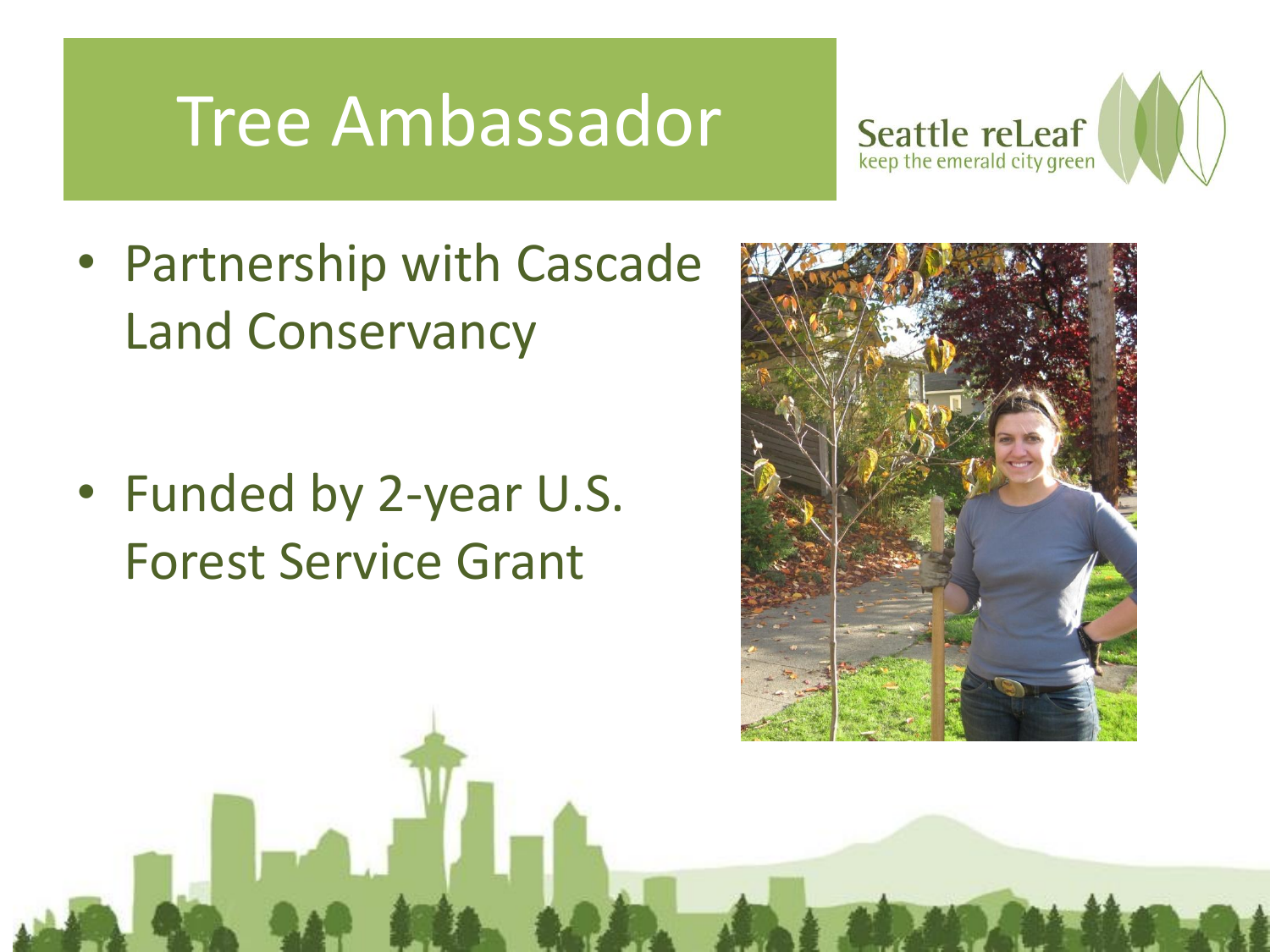## Tree Ambassador



• Partnership with Cascade Land Conservancy

• Funded by 2-year U.S. Forest Service Grant

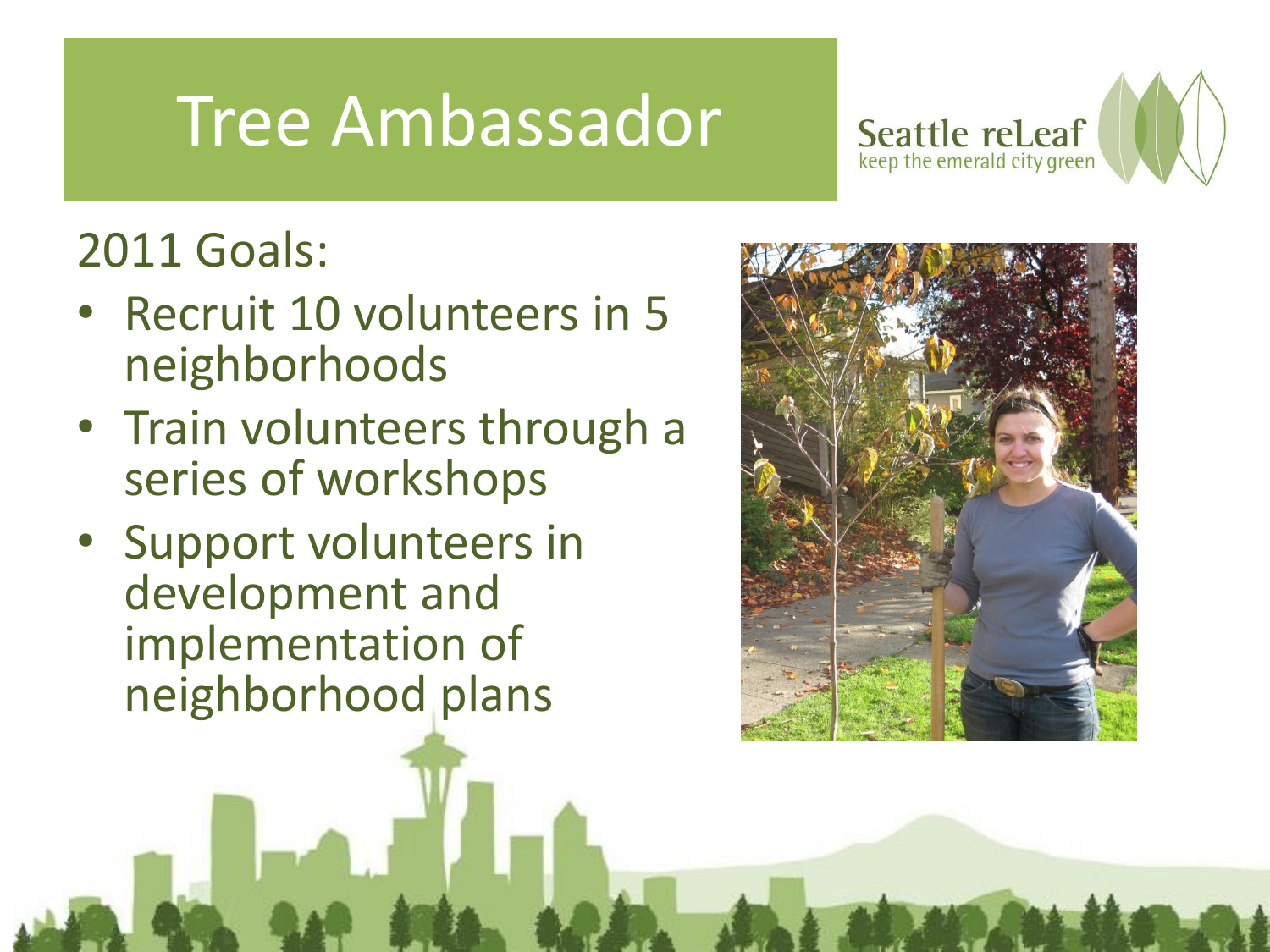## Tree Ambassador



### 2011 Goals:

- Recruit 10 volunteers in 5 neighborhoods
- Train volunteers through a series of workshops
- Support volunteers in development and implementation of neighborhood plans

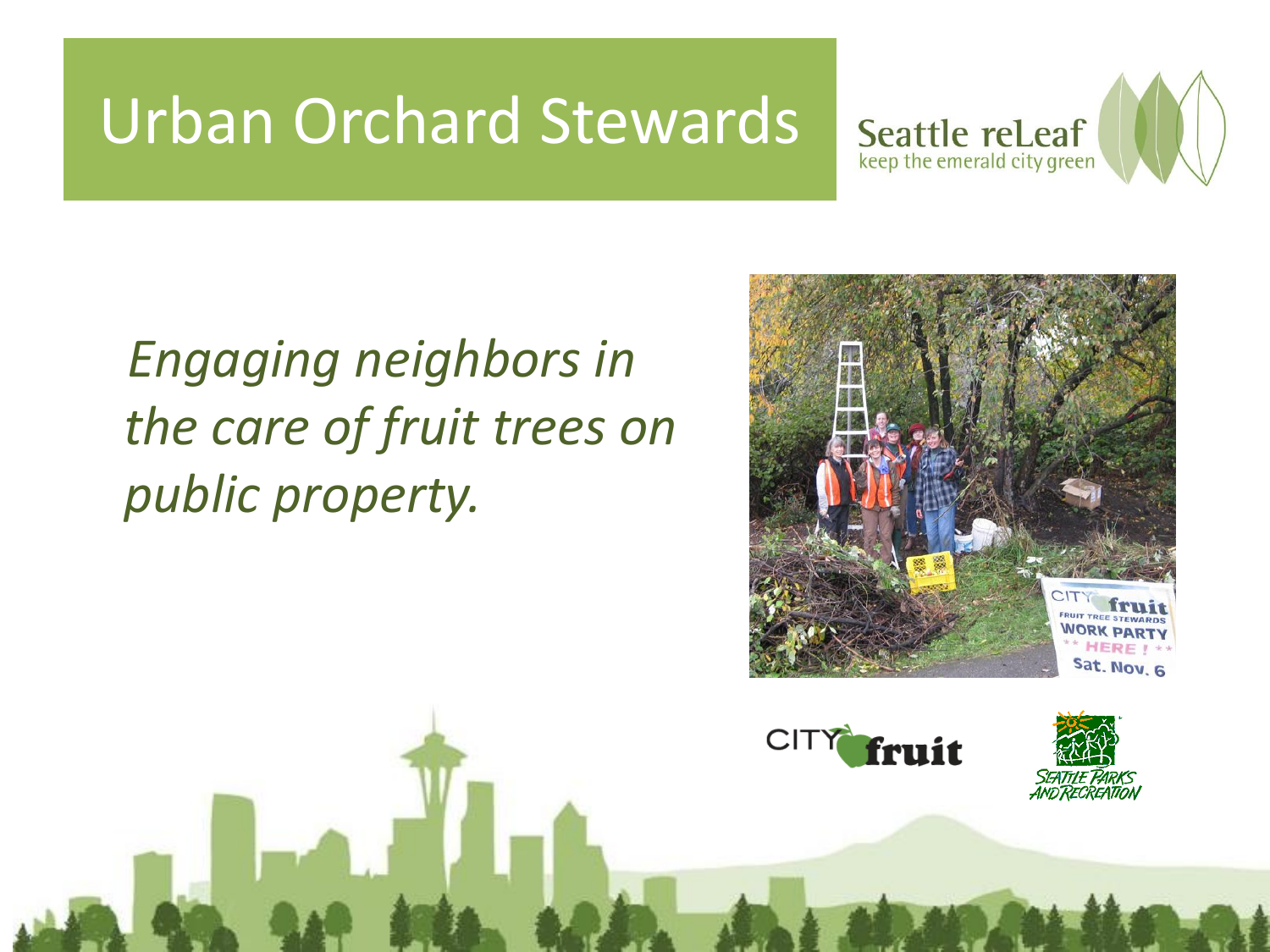### Urban Orchard Stewards



### *Engaging neighbors in the care of fruit trees on public property.*





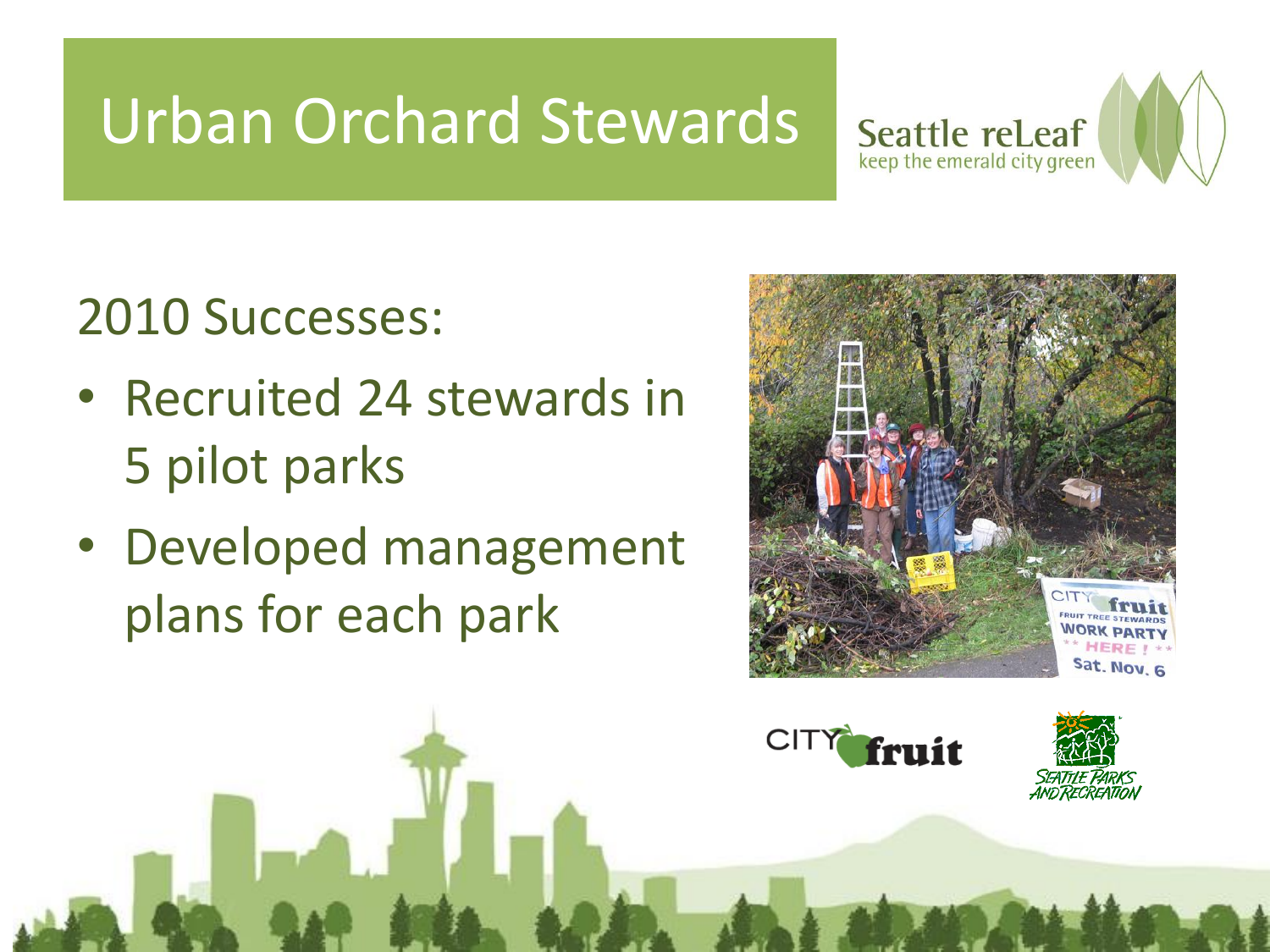## Urban Orchard Stewards



#### 2010 Successes:

- Recruited 24 stewards in 5 pilot parks
- Developed management plans for each park





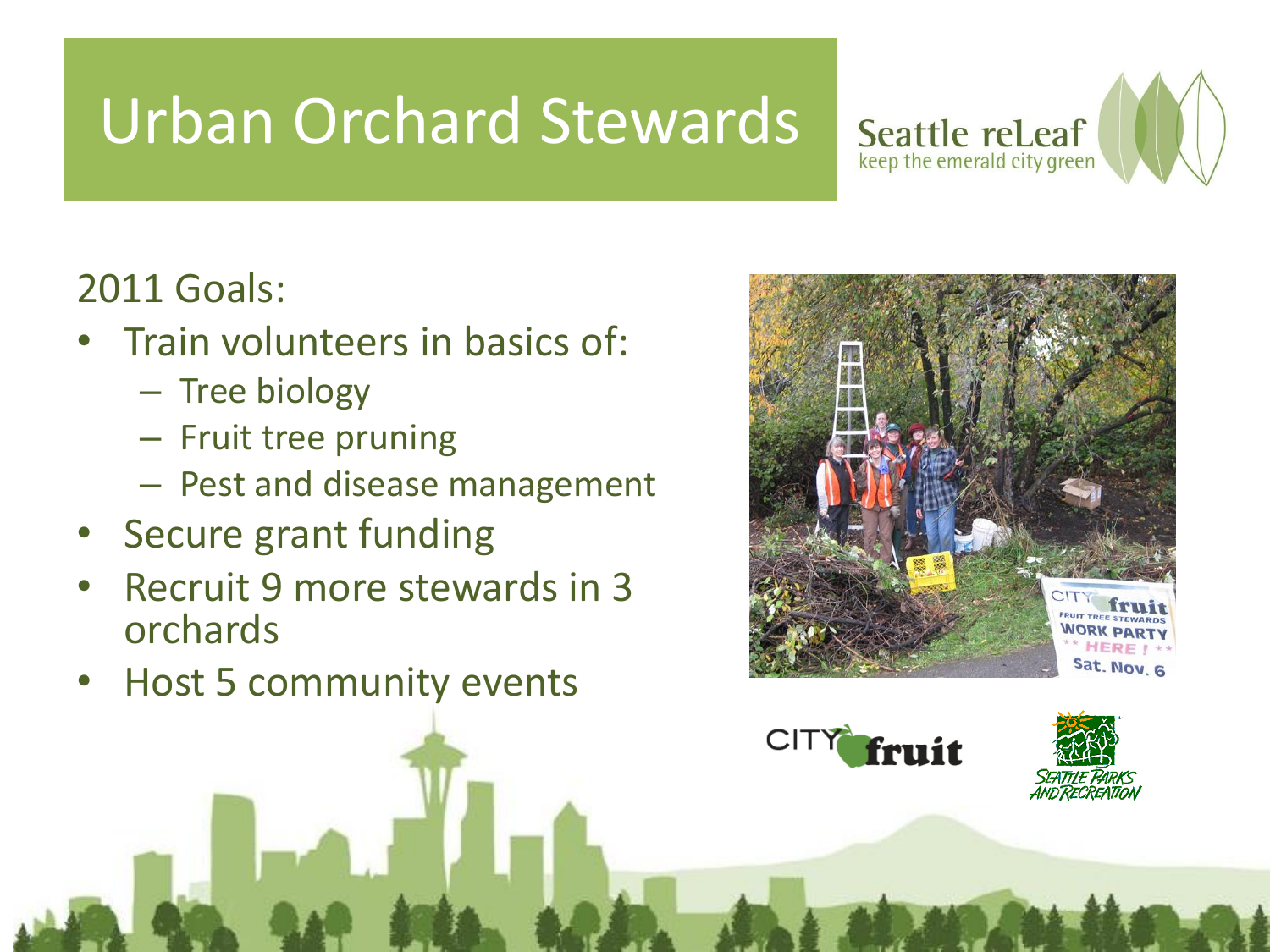## Urban Orchard Stewards



- Train volunteers in basics of:
	- Tree biology
	- Fruit tree pruning
	- Pest and disease management
- Secure grant funding
- Recruit 9 more stewards in 3 orchards
- Host 5 community events



Seattle rel.eaf keep the emerald city green